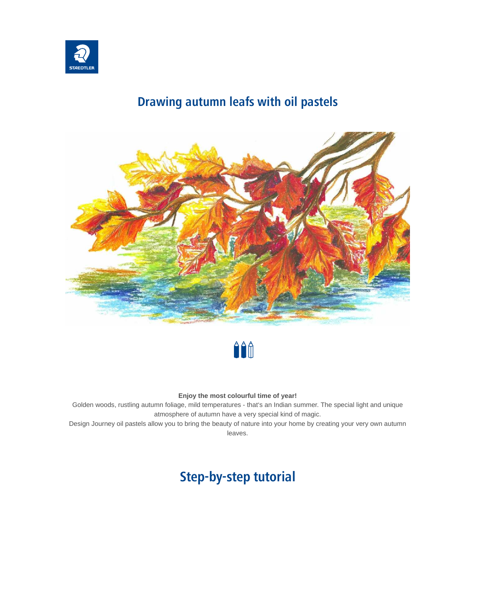

### **Drawing autumn leafs with oil pastels**





#### **Enjoy the most colourful time of year!**

Golden woods, rustling autumn foliage, mild temperatures - that's an Indian summer. The special light and unique atmosphere of autumn have a very special kind of magic.

Design Journey oil pastels allow you to bring the beauty of nature into your home by creating your very own autumn leaves.

## **Step-by-step tutorial**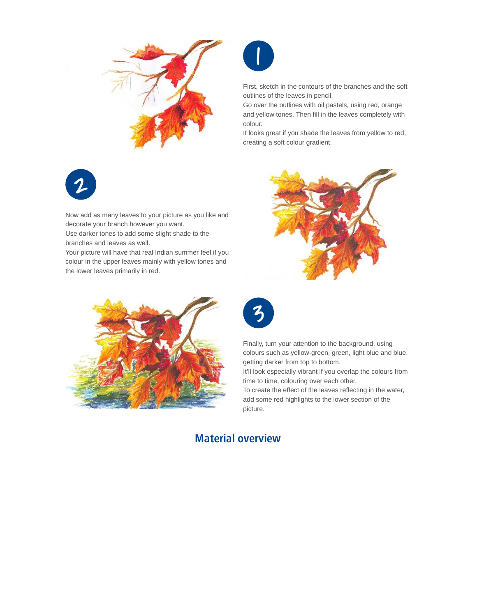



First, sketch in the contours of the branches and the soft outlines of the leaves in pencil.

Go over the outlines with oil pastels, using red, orange and yellow tones. Then fill in the leaves completely with colour.

It looks great if you shade the leaves from yellow to red, creating a soft colour gradient.



Now add as many leaves to your picture as you like and decorate your branch however you want.

Use darker tones to add some slight shade to the branches and leaves as well.

Your picture will have that real Indian summer feel if you colour in the upper leaves mainly with yellow tones and the lower leaves primarily in red.







Finally, turn your attention to the background, using colours such as yellow-green, green, light blue and blue, getting darker from top to bottom.

It'll look especially vibrant if you overlap the colours from time to time, colouring over each other.

To create the effect of the leaves reflecting in the water, add some red highlights to the lower section of the picture.

### **Material overview**